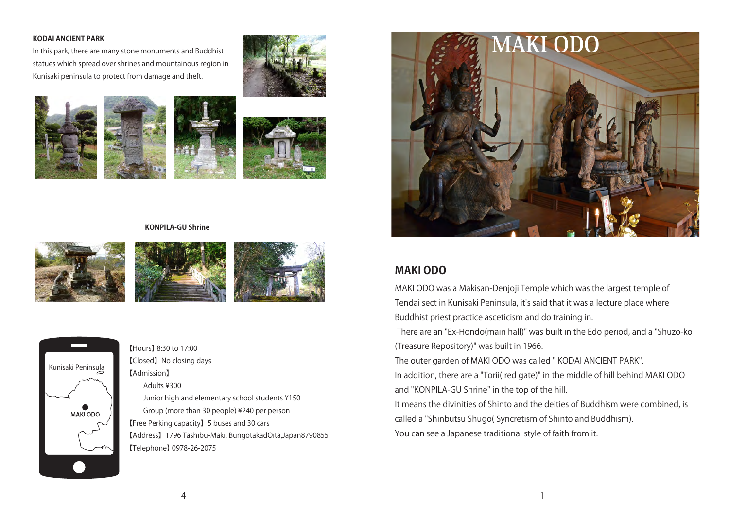### **KODAI ANCIENT PARK**

In this park, there are many stone monuments and Buddhist statues which spread over shrines and mountainous region in Kunisaki peninsula to protect from damage and theft.









#### **KONPILA-GU Shrine**







【Hours】 8:30 to 17:00 【Closed】No closing days 【Admission】 Adults ¥300 Junior high and elementary school students ¥150 Group (more than 30 people) ¥240 per person 【Free Perking capacity】5 buses and 30 cars 【Address】1796 Tashibu-Maki, BungotakadOita,Japan8790855 【Telephone】 0978-26-2075



# **MAKI ODO**

MAKI ODO was a Makisan-Denjoji Temple which was the largest temple of Tendai sect in Kunisaki Peninsula, it's said that it was a lecture place where Buddhist priest practice asceticism and do training in.

 There are an "Ex-Hondo(main hall)" was built in the Edo period, and a "Shuzo-ko (Treasure Repository)" was built in 1966.

The outer garden of MAKI ODO was called " KODAI ANCIENT PARK".

In addition, there are a "Torii( red gate)" in the middle of hill behind MAKI ODO and "KONPILA-GU Shrine" in the top of the hill.

It means the divinities of Shinto and the deities of Buddhism were combined, is called a "Shinbutsu Shugo( Syncretism of Shinto and Buddhism).

You can see a Japanese traditional style of faith from it.